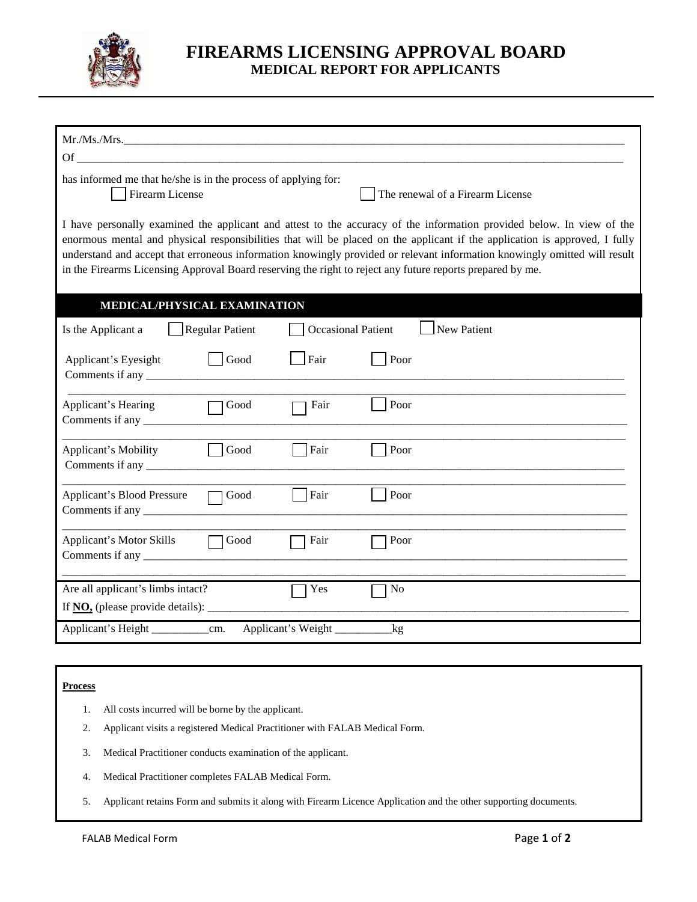

## **FIREARMS LICENSING APPROVAL BOARD MEDICAL REPORT FOR APPLICANTS**

| Of                                                                                                                                                                                                                                                                                                                                                                                                                                                                                            |  |  |  |  |  |
|-----------------------------------------------------------------------------------------------------------------------------------------------------------------------------------------------------------------------------------------------------------------------------------------------------------------------------------------------------------------------------------------------------------------------------------------------------------------------------------------------|--|--|--|--|--|
| has informed me that he/she is in the process of applying for:<br>The renewal of a Firearm License<br>Firearm License                                                                                                                                                                                                                                                                                                                                                                         |  |  |  |  |  |
| I have personally examined the applicant and attest to the accuracy of the information provided below. In view of the<br>enormous mental and physical responsibilities that will be placed on the applicant if the application is approved, I fully<br>understand and accept that erroneous information knowingly provided or relevant information knowingly omitted will result<br>in the Firearms Licensing Approval Board reserving the right to reject any future reports prepared by me. |  |  |  |  |  |
| MEDICAL/PHYSICAL EXAMINATION                                                                                                                                                                                                                                                                                                                                                                                                                                                                  |  |  |  |  |  |
| New Patient<br><b>Regular Patient</b><br><b>Occasional Patient</b><br>Is the Applicant a                                                                                                                                                                                                                                                                                                                                                                                                      |  |  |  |  |  |
| Good<br>Fair<br>Poor<br>Applicant's Eyesight                                                                                                                                                                                                                                                                                                                                                                                                                                                  |  |  |  |  |  |
| Poor<br>Applicant's Hearing<br>Fair<br>Good                                                                                                                                                                                                                                                                                                                                                                                                                                                   |  |  |  |  |  |
| Fair<br>Poor<br>Good<br>Applicant's Mobility                                                                                                                                                                                                                                                                                                                                                                                                                                                  |  |  |  |  |  |
| Fair<br>Poor<br><b>Applicant's Blood Pressure</b><br>Good                                                                                                                                                                                                                                                                                                                                                                                                                                     |  |  |  |  |  |
| <b>Applicant's Motor Skills</b><br>Good<br>Fair<br>Poor                                                                                                                                                                                                                                                                                                                                                                                                                                       |  |  |  |  |  |
| Are all applicant's limbs intact?<br>Yes<br>N <sub>o</sub>                                                                                                                                                                                                                                                                                                                                                                                                                                    |  |  |  |  |  |
| If $\overline{NO}$ , (please provide details): $\overline{\phantom{O}}$                                                                                                                                                                                                                                                                                                                                                                                                                       |  |  |  |  |  |
| Applicant's Weight<br>$\log$                                                                                                                                                                                                                                                                                                                                                                                                                                                                  |  |  |  |  |  |
|                                                                                                                                                                                                                                                                                                                                                                                                                                                                                               |  |  |  |  |  |
|                                                                                                                                                                                                                                                                                                                                                                                                                                                                                               |  |  |  |  |  |

## **Process**

- 1. All costs incurred will be borne by the applicant.
- 2. Applicant visits a registered Medical Practitioner with FALAB Medical Form.
- 3. Medical Practitioner conducts examination of the applicant.
- 4. Medical Practitioner completes FALAB Medical Form.
- 5. Applicant retains Form and submits it along with Firearm Licence Application and the other supporting documents.